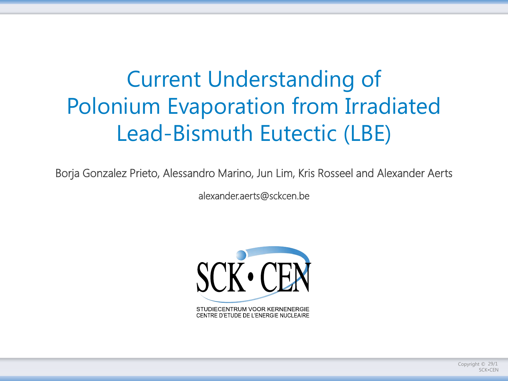## Current Understanding of Polonium Evaporation from Irradiated Lead-Bismuth Eutectic (LBE)

Borja Gonzalez Prieto, Alessandro Marino, Jun Lim, Kris Rosseel and Alexander Aerts

alexander.aerts@sckcen.be



Copyright  $\odot$  29/1 SCK•CEN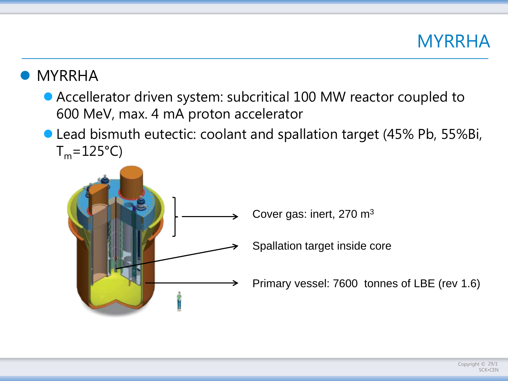

#### MYRRHA

- Accellerator driven system: subcritical 100 MW reactor coupled to 600 MeV, max. 4 mA proton accelerator
- Lead bismuth eutectic: coolant and spallation target (45% Pb, 55%Bi,  $T_m = 125$ °C)

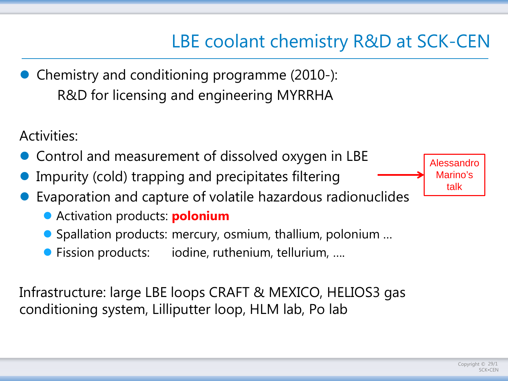## LBE coolant chemistry R&D at SCK-CEN

• Chemistry and conditioning programme (2010-): R&D for licensing and engineering MYRRHA

Activities:

- Control and measurement of dissolved oxygen in LBE
- Impurity (cold) trapping and precipitates filtering
- Evaporation and capture of volatile hazardous radionuclides
	- Activation products: **polonium**
	- Spallation products: mercury, osmium, thallium, polonium ...
	- Fission products: iodine, ruthenium, tellurium, ....

Infrastructure: large LBE loops CRAFT & MEXICO, HELIOS3 gas conditioning system, Lilliputter loop, HLM lab, Po lab

Alessandro Marino's talk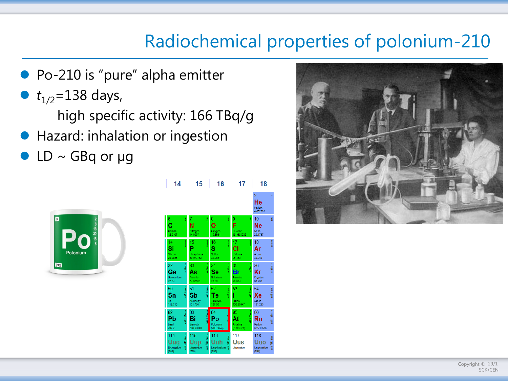### Radiochemical properties of polonium-210

- Po-210 is "pure" alpha emitter
- $t_{1/2}$ =138 days,
	- high specific activity: 166 TBq/g
- Hazard: inhalation or ingestion
- $LD \sim GBq$  or  $\mu g$



|  | 14 15 16 17 18 |                |
|--|----------------|----------------|
|  |                | 2 <sup>7</sup> |



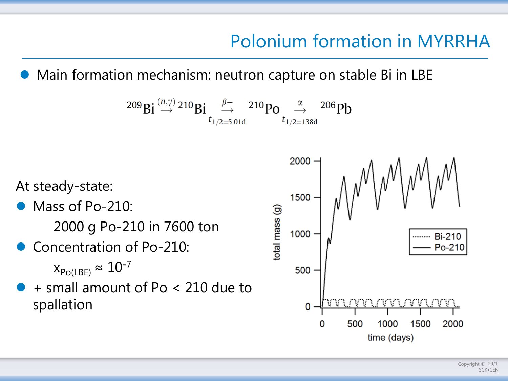## Polonium formation in MYRRHA

Main formation mechanism: neutron capture on stable Bi in LBE

$$
^{209}\text{Bi} \overset{(n,\gamma)}{\rightarrow} {^{210}\text{Bi}} \underset{t_{1/2=5.01d}}{\overset{\beta-}{\rightarrow}} {^{210}\text{Po}} \underset{t_{1/2=138d}}{\overset{\alpha}{\rightarrow}} {^{206}\text{Pb}}
$$

At steady-state:

- Mass of Po-210: 2000 g Po-210 in 7600 ton
- Concentration of Po-210:

 $x_{Po(LEE)} \approx 10^{-7}$ 

 + small amount of Po < 210 due to spallation

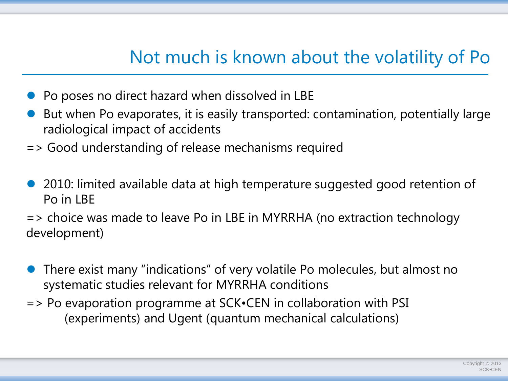### Not much is known about the volatility of Po

- Po poses no direct hazard when dissolved in LBE
- But when Po evaporates, it is easily transported: contamination, potentially large radiological impact of accidents
- => Good understanding of release mechanisms required
- 2010: limited available data at high temperature suggested good retention of Po in LBE
- => choice was made to leave Po in LBE in MYRRHA (no extraction technology development)
- There exist many "indications" of very volatile Po molecules, but almost no systematic studies relevant for MYRRHA conditions
- => Po evaporation programme at SCK•CEN in collaboration with PSI (experiments) and Ugent (quantum mechanical calculations)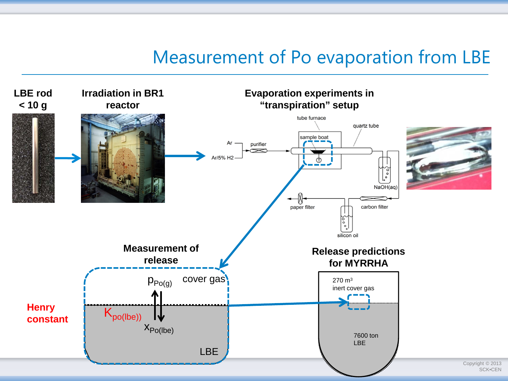#### Measurement of Po evaporation from LBE

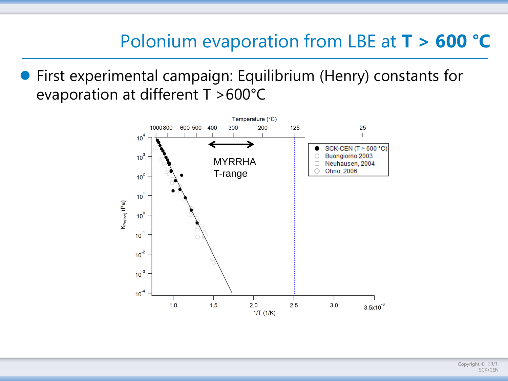First experimental campaign: Equilibrium (Henry) constants for evaporation at different T >600°C

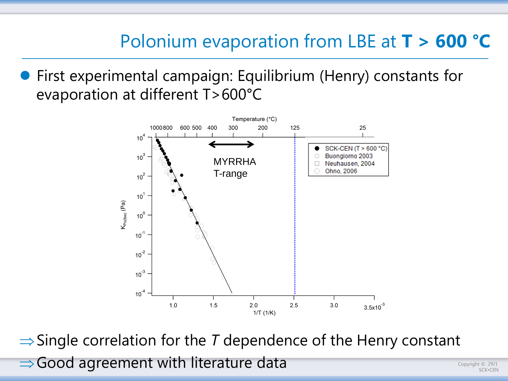First experimental campaign: Equilibrium (Henry) constants for evaporation at different T>600°C



⇒Single correlation for the *T* dependence of the Henry constant ⇒Good agreement with literature data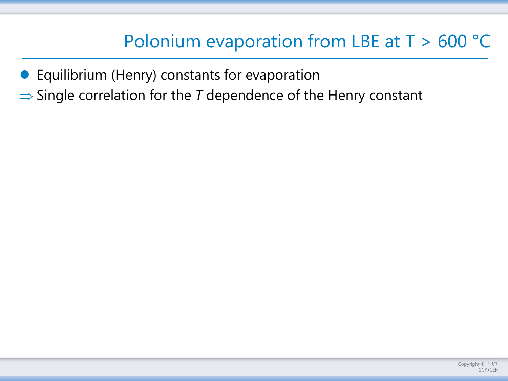Equilibrium (Henry) constants for evaporation

⇒ Single correlation for the *T* dependence of the Henry constant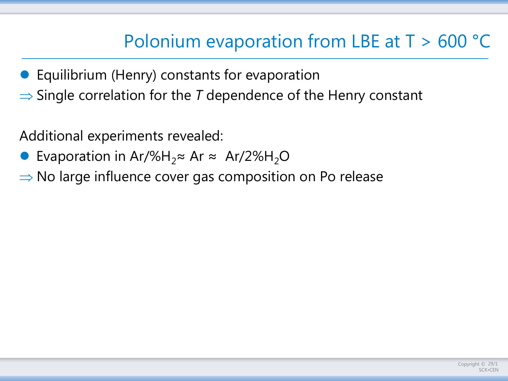- Equilibrium (Henry) constants for evaporation
- ⇒ Single correlation for the *T* dependence of the Henry constant

Additional experiments revealed:

- Evaporation in Ar/%H<sub>2</sub>≈ Ar ≈ Ar/2%H<sub>2</sub>O
- ⇒ No large influence cover gas composition on Po release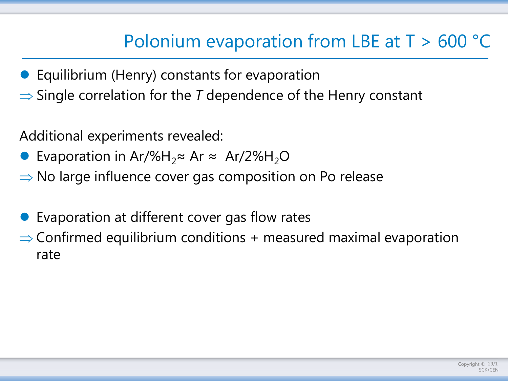- **•** Equilibrium (Henry) constants for evaporation
- ⇒ Single correlation for the *T* dependence of the Henry constant

Additional experiments revealed:

- Evaporation in Ar/%H<sub>2</sub>≈ Ar ≈ Ar/2%H<sub>2</sub>O
- ⇒ No large influence cover gas composition on Po release

Evaporation at different cover gas flow rates

 $\Rightarrow$  Confirmed equilibrium conditions + measured maximal evaporation rate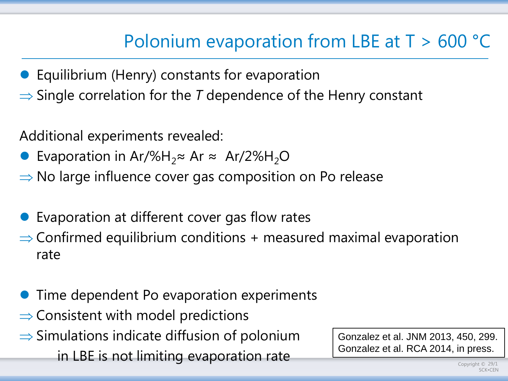- **•** Equilibrium (Henry) constants for evaporation
- ⇒ Single correlation for the *T* dependence of the Henry constant

Additional experiments revealed:

- Evaporation in Ar/%H<sub>2</sub>≈ Ar ≈ Ar/2%H<sub>2</sub>O
- ⇒ No large influence cover gas composition on Po release
- Evaporation at different cover gas flow rates  $\Rightarrow$  Confirmed equilibrium conditions + measured maximal evaporation rate
- Time dependent Po evaporation experiments
- $\Rightarrow$  Consistent with model predictions
- $\Rightarrow$  Simulations indicate diffusion of polonium in LBE is not limiting evaporation rate

Gonzalez et al. JNM 2013, 450, 299. Gonzalez et al. RCA 2014, in press.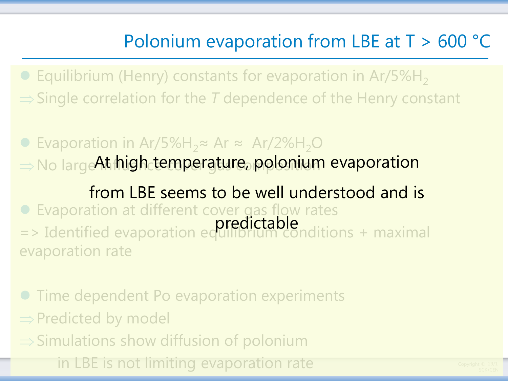**• Equilibrium (Henry) constants for evaporation in Ar/5%H**<sub>2</sub> ⇒Single correlation for the *T* dependence of the Henry constant

■ Evaporation in Ar/5%H<sub>2</sub>≈ Ar ≈ Ar/2%H<sub>2</sub>O ⇒No large At high temperature, polonium evaporation

 Evaporation at different cover gas flow rates => Identified evaporation equilibrium conditions + maximal evaporation rate from LBE seems to be well understood and is predictable

 Time dependent Po evaporation experiments ⇒Predicted by model ⇒Simulations show diffusion of polonium in LBE is not limiting evaporation rate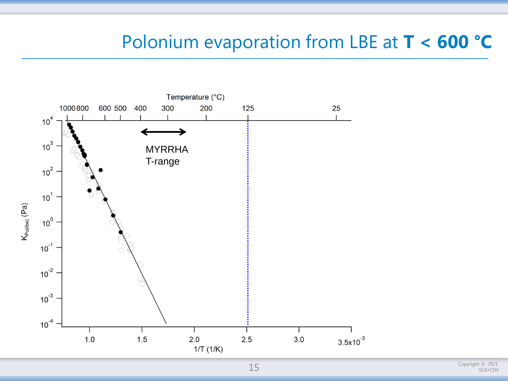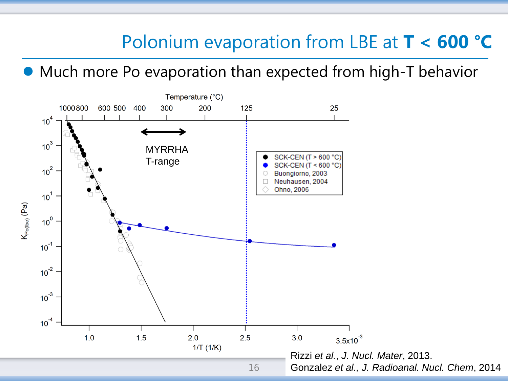$\epsilon$ 

20 I <del>-</del>

Much more Po evaporation than expected from high-T behavior

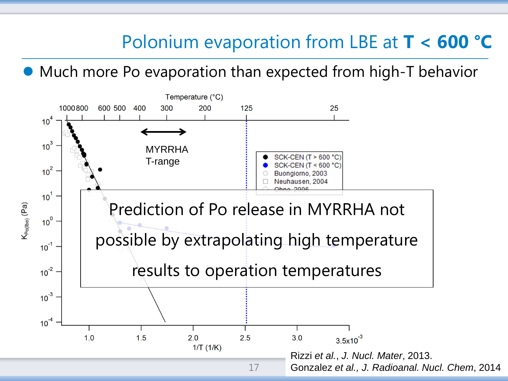Much more Po evaporation than expected from high-T behavior

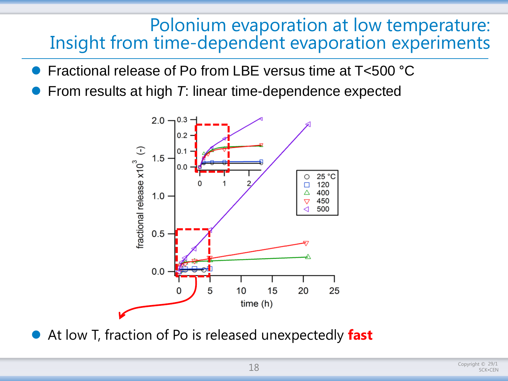#### Polonium evaporation at low temperature: Insight from time-dependent evaporation experiments

- Fractional release of Po from LBE versus time at T<500 °C
- From results at high *T*: linear time-dependence expected



At low T, fraction of Po is released unexpectedly **fast**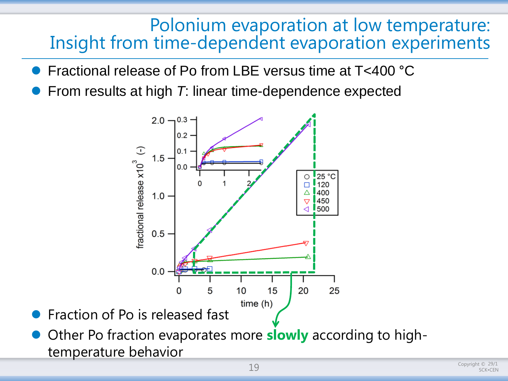#### Polonium evaporation at low temperature: Insight from time-dependent evaporation experiments

- Fractional release of Po from LBE versus time at T<400 °C
- From results at high *T*: linear time-dependence expected



- Fraction of Po is released fast
- Other Po fraction evaporates more **slowly** according to hightemperature behavior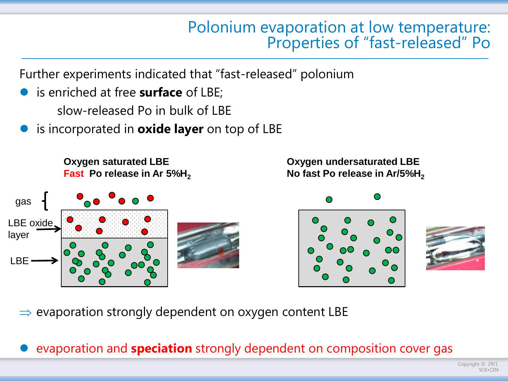## Polonium evaporation at low temperature: Properties of "fast-released" Po

Further experiments indicated that "fast-released" polonium

- is enriched at free **surface** of LBE; slow-released Po in bulk of LBE
- is incorporated in **oxide layer** on top of LBE

**Oxygen saturated LBE Fast Po release in Ar 5%H<sub>2</sub>** 



**Oxygen undersaturated LBE No fast Po release in Ar/5%H<sub>2</sub>** 





 $\Rightarrow$  evaporation strongly dependent on oxygen content LBE

evaporation and **speciation** strongly dependent on composition cover gas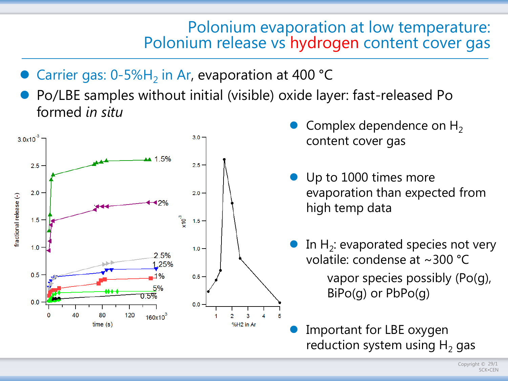# Polonium evaporation at low temperature: Polonium release vs hydrogen content cover gas

- Carrier gas:  $0-5\%H_2$  in Ar, evaporation at 400 °C
- Po/LBE samples without initial (visible) oxide layer: fast-released Po formed *in situ*



- Complex dependence on  $H_2$ content cover gas
- Up to 1000 times more evaporation than expected from high temp data
	- In  $H_2$ : evaporated species not very volatile: condense at ~300 °C vapor species possibly (Po(g), BiPo(g) or PbPo(g)
- Important for LBE oxygen reduction system using  $H_2$  gas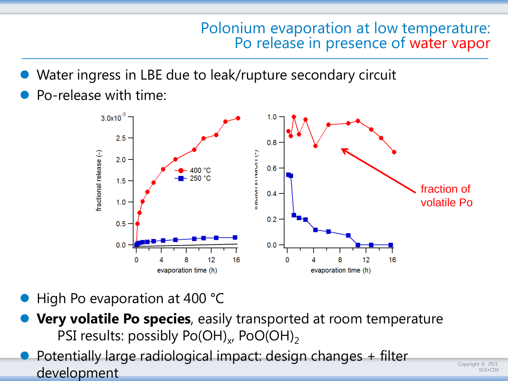## Polonium evaporation at low temperature: Po release in presence of water vapor

- Water ingress in LBE due to leak/rupture secondary circuit
- Po-release with time:



- High Po evaporation at 400 °C
- **Very volatile Po species**, easily transported at room temperature PSI results: possibly  $Po(OH)_x$ ,  $PoO(OH)_2$
- Potentially large radiological impact: design changes + filter development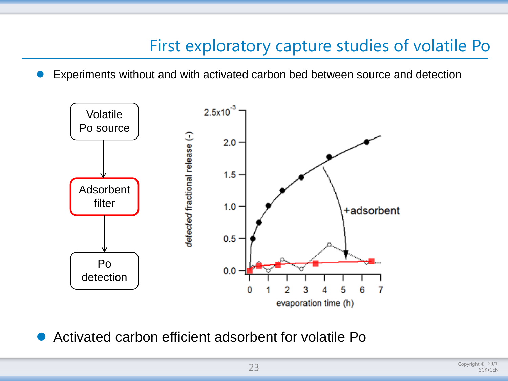#### First exploratory capture studies of volatile Po

Experiments without and with activated carbon bed between source and detection



Activated carbon efficient adsorbent for volatile Po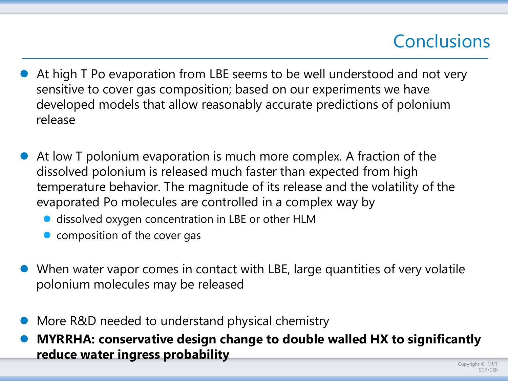## **Conclusions**

- At high T Po evaporation from LBE seems to be well understood and not very sensitive to cover gas composition; based on our experiments we have developed models that allow reasonably accurate predictions of polonium release
- At low T polonium evaporation is much more complex. A fraction of the dissolved polonium is released much faster than expected from high temperature behavior. The magnitude of its release and the volatility of the evaporated Po molecules are controlled in a complex way by
	- **o** dissolved oxygen concentration in LBE or other HLM
	- composition of the cover gas
- When water vapor comes in contact with LBE, large quantities of very volatile polonium molecules may be released
- More R&D needed to understand physical chemistry
- **MYRRHA: conservative design change to double walled HX to significantly reduce water ingress probability**